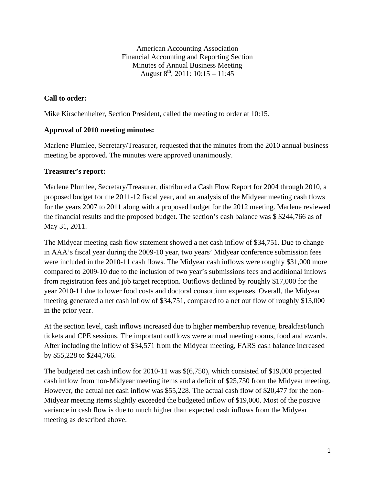American Accounting Association Financial Accounting and Reporting Section Minutes of Annual Business Meeting August  $8^{th}$ , 2011: 10:15 – 11:45

## **Call to order:**

Mike Kirschenheiter, Section President, called the meeting to order at 10:15.

#### **Approval of 2010 meeting minutes:**

Marlene Plumlee, Secretary/Treasurer, requested that the minutes from the 2010 annual business meeting be approved. The minutes were approved unanimously.

#### **Treasurer's report:**

Marlene Plumlee, Secretary/Treasurer, distributed a Cash Flow Report for 2004 through 2010, a proposed budget for the 2011‐12 fiscal year, and an analysis of the Midyear meeting cash flows for the years 2007 to 2011 along with a proposed budget for the 2012 meeting. Marlene reviewed the financial results and the proposed budget. The section's cash balance was \$ \$244,766 as of May 31, 2011.

The Midyear meeting cash flow statement showed a net cash inflow of \$34,751. Due to change in AAA's fiscal year during the 2009-10 year, two years' Midyear conference submission fees were included in the 2010-11 cash flows. The Midyear cash inflows were roughly \$31,000 more compared to 2009-10 due to the inclusion of two year's submissions fees and additional inflows from registration fees and job target reception. Outflows declined by roughly \$17,000 for the year 2010-11 due to lower food costs and doctoral consortium expenses. Overall, the Midyear meeting generated a net cash inflow of \$34,751, compared to a net out flow of roughly \$13,000 in the prior year.

At the section level, cash inflows increased due to higher membership revenue, breakfast/lunch tickets and CPE sessions. The important outflows were annual meeting rooms, food and awards. After including the inflow of \$34,571 from the Midyear meeting, FARS cash balance increased by \$55,228 to \$244,766.

The budgeted net cash inflow for 2010-11 was \$(6,750), which consisted of \$19,000 projected cash inflow from non-Midyear meeting items and a deficit of \$25,750 from the Midyear meeting. However, the actual net cash inflow was \$55,228. The actual cash flow of \$20,477 for the non-Midyear meeting items slightly exceeded the budgeted inflow of \$19,000. Most of the postive variance in cash flow is due to much higher than expected cash inflows from the Midyear meeting as described above.